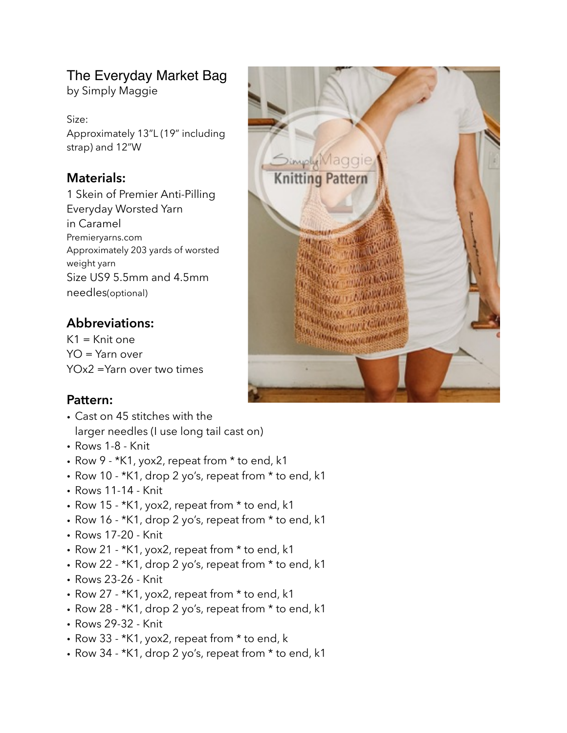# The Everyday Market Bag

by Simply Maggie

Size: Approximately 13"L (19" including strap) and 12"W

### **Materials:**

1 Skein of Premier Anti-Pilling Everyday Worsted Yarn in Caramel Premieryarns.com Approximately 203 yards of worsted weight yarn Size US9 5.5mm and 4.5mm needles(optional)

## **Abbreviations:**

 $K1 = K$ nit one YO = Yarn over YOx2 =Yarn over two times

### **Pattern:**

- Cast on 45 stitches with the larger needles (I use long tail cast on)
- Rows 1-8 Knit
- Row 9 \*K1, yox2, repeat from \* to end, k1
- Row 10 \*K1, drop 2 yo's, repeat from \* to end, k1
- Rows 11-14 Knit
- Row 15 \*K1, yox2, repeat from \* to end, k1
- Row 16 \*K1, drop 2 yo's, repeat from \* to end, k1
- Rows 17-20 Knit
- Row 21 \*K1, yox2, repeat from \* to end, k1
- Row 22 \*K1, drop 2 yo's, repeat from \* to end, k1
- Rows 23-26 Knit
- Row 27 \*K1, yox2, repeat from \* to end, k1
- Row 28 \*K1, drop 2 yo's, repeat from \* to end, k1
- Rows 29-32 Knit
- Row 33 \*K1, yox2, repeat from \* to end, k
- Row 34 \*K1, drop 2 yo's, repeat from \* to end, k1

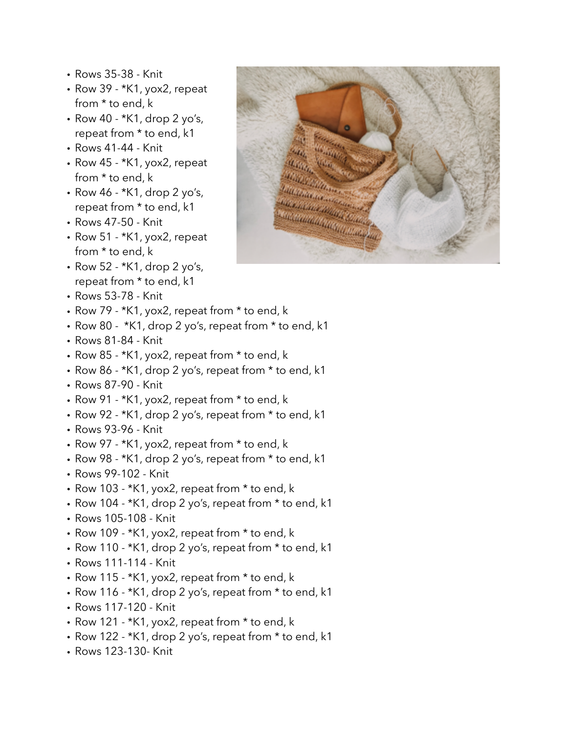- Rows 35-38 Knit
- Row 39 \*K1, yox2, repeat from \* to end, k
- Row 40 \*K1, drop 2 yo's, repeat from \* to end, k1
- Rows 41-44 Knit
- Row 45 \*K1, yox2, repeat from \* to end, k
- Row 46 \*K1, drop 2 yo's, repeat from \* to end, k1
- Rows 47-50 Knit
- Row 51 \*K1, yox2, repeat from \* to end, k
- Row 52 \*K1, drop 2 yo's, repeat from \* to end, k1
- Rows 53-78 Knit
- Row 79 \*K1, yox2, repeat from \* to end, k
- Row 80 \*K1, drop 2 yo's, repeat from \* to end, k1
- Rows 81-84 Knit
- Row 85 \*K1, yox2, repeat from \* to end, k
- Row 86 \*K1, drop 2 yo's, repeat from \* to end, k1
- Rows 87-90 Knit
- Row 91 \*K1, yox2, repeat from \* to end, k
- Row 92 \*K1, drop 2 yo's, repeat from \* to end, k1
- Rows 93-96 Knit
- Row 97 \*K1, yox2, repeat from \* to end, k
- Row 98 \*K1, drop 2 yo's, repeat from \* to end, k1
- Rows 99-102 Knit
- Row 103 \*K1, yox2, repeat from \* to end, k
- Row 104 \*K1, drop 2 yo's, repeat from \* to end, k1
- Rows 105-108 Knit
- Row 109 \*K1, yox2, repeat from \* to end, k
- Row 110 \*K1, drop 2 yo's, repeat from \* to end, k1
- Rows 111-114 Knit
- Row 115 \*K1, yox2, repeat from \* to end, k
- Row 116 \*K1, drop 2 yo's, repeat from \* to end, k1
- Rows 117-120 Knit
- Row 121 \*K1, yox2, repeat from \* to end, k
- Row 122 \*K1, drop 2 yo's, repeat from \* to end, k1
- Rows 123-130- Knit